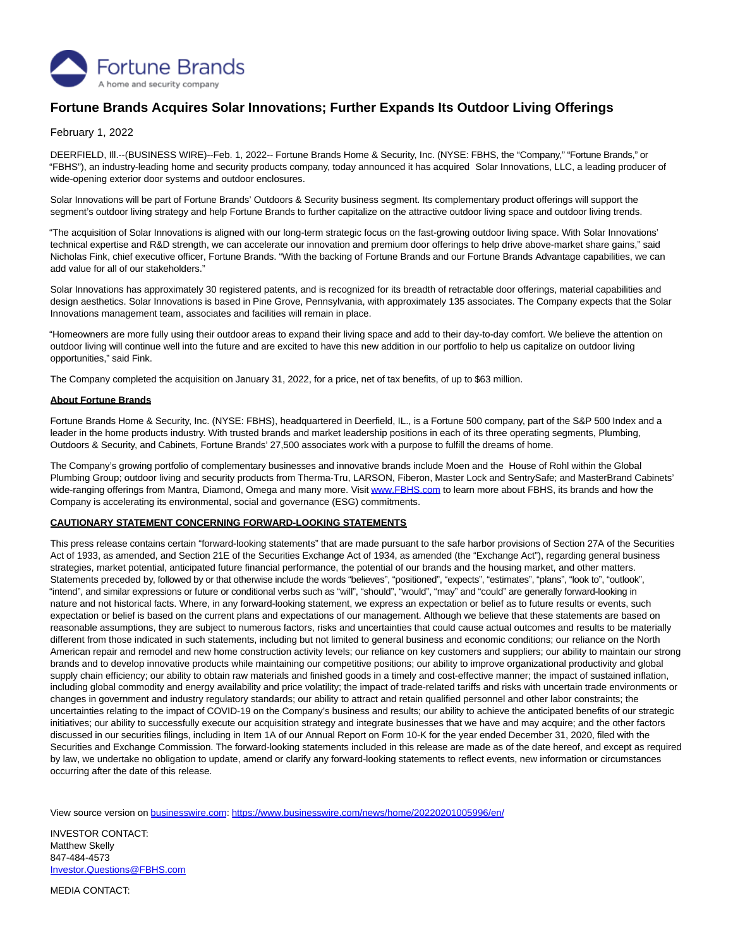

## **Fortune Brands Acquires Solar Innovations; Further Expands Its Outdoor Living Offerings**

February 1, 2022

DEERFIELD, Ill.--(BUSINESS WIRE)--Feb. 1, 2022-- Fortune Brands Home & Security, Inc. (NYSE: FBHS, the "Company," "Fortune Brands," or "FBHS"), an industry-leading home and security products company, today announced it has acquired Solar Innovations, LLC, a leading producer of wide-opening exterior door systems and outdoor enclosures.

Solar Innovations will be part of Fortune Brands' Outdoors & Security business segment. Its complementary product offerings will support the segment's outdoor living strategy and help Fortune Brands to further capitalize on the attractive outdoor living space and outdoor living trends.

"The acquisition of Solar Innovations is aligned with our long-term strategic focus on the fast-growing outdoor living space. With Solar Innovations' technical expertise and R&D strength, we can accelerate our innovation and premium door offerings to help drive above-market share gains," said Nicholas Fink, chief executive officer, Fortune Brands. "With the backing of Fortune Brands and our Fortune Brands Advantage capabilities, we can add value for all of our stakeholders."

Solar Innovations has approximately 30 registered patents, and is recognized for its breadth of retractable door offerings, material capabilities and design aesthetics. Solar Innovations is based in Pine Grove, Pennsylvania, with approximately 135 associates. The Company expects that the Solar Innovations management team, associates and facilities will remain in place.

"Homeowners are more fully using their outdoor areas to expand their living space and add to their day-to-day comfort. We believe the attention on outdoor living will continue well into the future and are excited to have this new addition in our portfolio to help us capitalize on outdoor living opportunities," said Fink.

The Company completed the acquisition on January 31, 2022, for a price, net of tax benefits, of up to \$63 million.

## **About Fortune Brands**

Fortune Brands Home & Security, Inc. (NYSE: FBHS), headquartered in Deerfield, IL., is a Fortune 500 company, part of the S&P 500 Index and a leader in the home products industry. With trusted brands and market leadership positions in each of its three operating segments, Plumbing, Outdoors & Security, and Cabinets, Fortune Brands' 27,500 associates work with a purpose to fulfill the dreams of home.

The Company's growing portfolio of complementary businesses and innovative brands include Moen and the House of Rohl within the Global Plumbing Group; outdoor living and security products from Therma-Tru, LARSON, Fiberon, Master Lock and SentrySafe; and MasterBrand Cabinets' wide-ranging offerings from Mantra, Diamond, Omega and many more. Visi[t www.FBHS.com t](https://cts.businesswire.com/ct/CT?id=smartlink&url=http%3A%2F%2Fwww.FBHS.com&esheet=52572129&newsitemid=20220201005996&lan=en-US&anchor=www.FBHS.com&index=1&md5=e0a2d4dd6065b2ae6a77dede4994d7a4)o learn more about FBHS, its brands and how the Company is accelerating its environmental, social and governance (ESG) commitments.

## **CAUTIONARY STATEMENT CONCERNING FORWARD-LOOKING STATEMENTS**

This press release contains certain "forward-looking statements" that are made pursuant to the safe harbor provisions of Section 27A of the Securities Act of 1933, as amended, and Section 21E of the Securities Exchange Act of 1934, as amended (the "Exchange Act"), regarding general business strategies, market potential, anticipated future financial performance, the potential of our brands and the housing market, and other matters. Statements preceded by, followed by or that otherwise include the words "believes", "positioned", "expects", "estimates", "plans", "look to", "outlook", "intend", and similar expressions or future or conditional verbs such as "will", "should", "would", "may" and "could" are generally forward-looking in nature and not historical facts. Where, in any forward-looking statement, we express an expectation or belief as to future results or events, such expectation or belief is based on the current plans and expectations of our management. Although we believe that these statements are based on reasonable assumptions, they are subject to numerous factors, risks and uncertainties that could cause actual outcomes and results to be materially different from those indicated in such statements, including but not limited to general business and economic conditions; our reliance on the North American repair and remodel and new home construction activity levels; our reliance on key customers and suppliers; our ability to maintain our strong brands and to develop innovative products while maintaining our competitive positions; our ability to improve organizational productivity and global supply chain efficiency; our ability to obtain raw materials and finished goods in a timely and cost-effective manner; the impact of sustained inflation, including global commodity and energy availability and price volatility; the impact of trade-related tariffs and risks with uncertain trade environments or changes in government and industry regulatory standards; our ability to attract and retain qualified personnel and other labor constraints; the uncertainties relating to the impact of COVID-19 on the Company's business and results; our ability to achieve the anticipated benefits of our strategic initiatives; our ability to successfully execute our acquisition strategy and integrate businesses that we have and may acquire; and the other factors discussed in our securities filings, including in Item 1A of our Annual Report on Form 10-K for the year ended December 31, 2020, filed with the Securities and Exchange Commission. The forward-looking statements included in this release are made as of the date hereof, and except as required by law, we undertake no obligation to update, amend or clarify any forward-looking statements to reflect events, new information or circumstances occurring after the date of this release.

View source version on [businesswire.com:](http://businesswire.com/)<https://www.businesswire.com/news/home/20220201005996/en/>

INVESTOR CONTACT: Matthew Skelly 847-484-4573 [Investor.Questions@FBHS.com](mailto:Investor.Questions@FBHS.com)

MEDIA CONTACT: